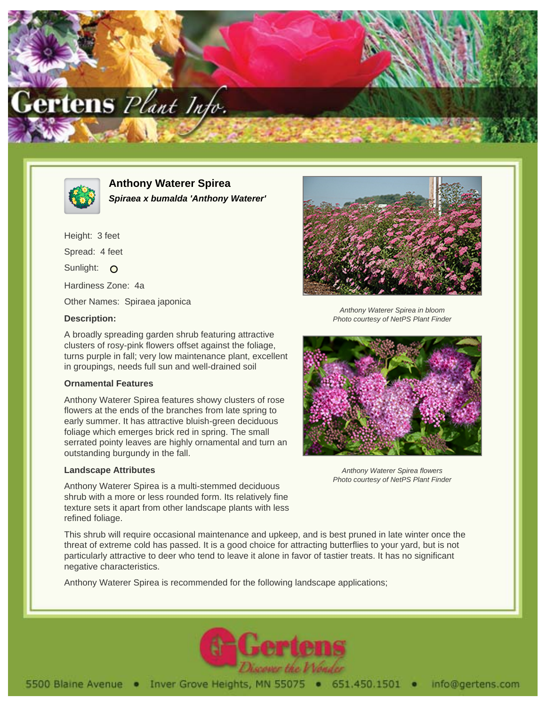



**Anthony Waterer Spirea Spiraea x bumalda 'Anthony Waterer'**

Height: 3 feet Spread: 4 feet Sunlight: O Hardiness Zone: 4a Other Names: Spiraea japonica

## **Description:**

A broadly spreading garden shrub featuring attractive clusters of rosy-pink flowers offset against the foliage, turns purple in fall; very low maintenance plant, excellent in groupings, needs full sun and well-drained soil

## **Ornamental Features**

Anthony Waterer Spirea features showy clusters of rose flowers at the ends of the branches from late spring to early summer. It has attractive bluish-green deciduous foliage which emerges brick red in spring. The small serrated pointy leaves are highly ornamental and turn an outstanding burgundy in the fall.

## **Landscape Attributes**

Anthony Waterer Spirea is a multi-stemmed deciduous shrub with a more or less rounded form. Its relatively fine texture sets it apart from other landscape plants with less refined foliage.

This shrub will require occasional maintenance and upkeep, and is best pruned in late winter once the threat of extreme cold has passed. It is a good choice for attracting butterflies to your yard, but is not particularly attractive to deer who tend to leave it alone in favor of tastier treats. It has no significant negative characteristics.

Anthony Waterer Spirea is recommended for the following landscape applications;





Anthony Waterer Spirea in bloom Photo courtesy of NetPS Plant Finder



Anthony Waterer Spirea flowers Photo courtesy of NetPS Plant Finder